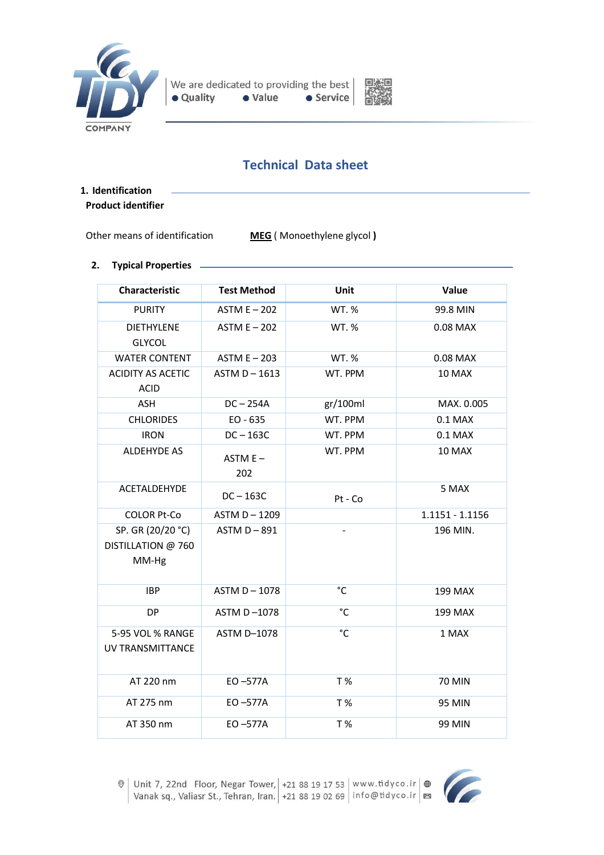



# **Technical Data sheet**

## **1. Identification Product identifier**

Other means of identification **MEG** ( Monoethylene glycol **)**

## **2. Typical Properties**

| <b>Characteristic</b>                            | <b>Test Method</b> | Unit         | Value             |
|--------------------------------------------------|--------------------|--------------|-------------------|
| <b>PURITY</b>                                    | ASTM $E - 202$     | <b>WT. %</b> | 99.8 MIN          |
| <b>DIETHYLENE</b><br><b>GLYCOL</b>               | ASTM $E - 202$     | WT. %        | 0.08 MAX          |
| <b>WATER CONTENT</b>                             | $ASTM E - 203$     | WT. %        | 0.08 MAX          |
| <b>ACIDITY AS ACETIC</b><br><b>ACID</b>          | ASTM $D - 1613$    | WT. PPM      | 10 MAX            |
| <b>ASH</b>                                       | $DC - 254A$        | gr/100ml     | MAX. 0.005        |
| <b>CHLORIDES</b>                                 | $EO - 635$         | WT. PPM      | $0.1$ MAX         |
| <b>IRON</b>                                      | $DC - 163C$        | WT. PPM      | $0.1$ MAX         |
| <b>ALDEHYDE AS</b>                               | $ASTM E -$<br>202  | WT. PPM      | 10 MAX            |
| <b>ACETALDEHYDE</b>                              | $DC - 163C$        | $Pt - Co$    | 5 MAX             |
| <b>COLOR Pt-Co</b>                               | ASTM D-1209        |              | $1.1151 - 1.1156$ |
| SP. GR (20/20 °C)<br>DISTILLATION @ 760<br>MM-Hg | $ASTM D - 891$     |              | 196 MIN.          |
| <b>IBP</b>                                       | ASTM D-1078        | °C           | <b>199 MAX</b>    |
| <b>DP</b>                                        | ASTM D-1078        | °C           | <b>199 MAX</b>    |
| 5-95 VOL % RANGE<br><b>UV TRANSMITTANCE</b>      | ASTM D-1078        | °C           | 1 MAX             |
| AT 220 nm                                        | $EO -577A$         | T %          | <b>70 MIN</b>     |
| AT 275 nm                                        | EO-577A            | T%           | 95 MIN            |
| AT 350 nm                                        | $EO -577A$         | T %          | <b>99 MIN</b>     |

© Unit 7, 22nd Floor, Negar Tower, | +21 88 19 17 53 | www.tidyco.ir | ⊕<br>Vanak sq., Valiasr St., Tehran, Iran. | +21 88 19 02 69 | info@tidyco.ir | ⊠

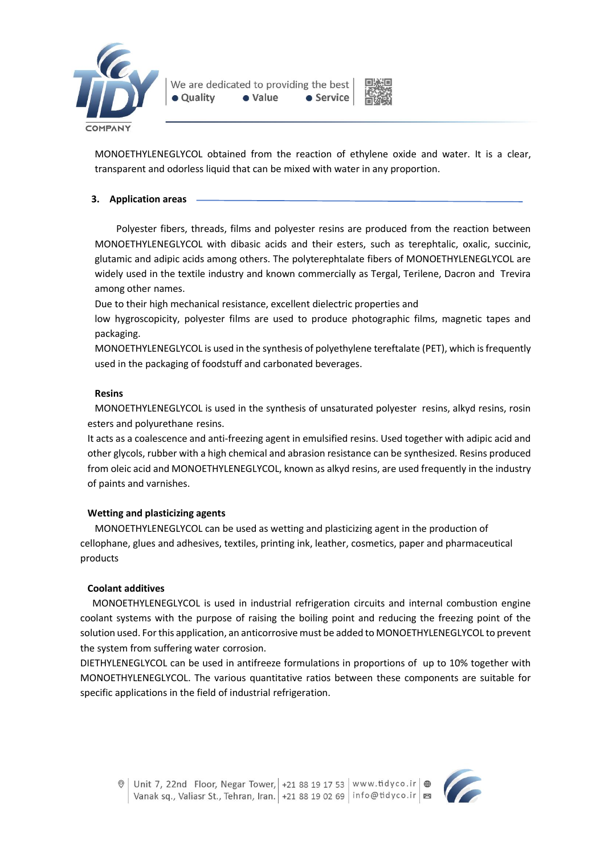



MONOETHYLENEGLYCOL obtained from the reaction of ethylene oxide and water. It is a clear, transparent and odorless liquid that can be mixed with water in any proportion.

## **3. Application areas**

Polyester fibers, threads, films and polyester resins are produced from the reaction between MONOETHYLENEGLYCOL with dibasic acids and their esters, such as terephtalic, oxalic, succinic, glutamic and adipic acids among others. The polyterephtalate fibers of MONOETHYLENEGLYCOL are widely used in the textile industry and known commercially as Tergal, Terilene, Dacron and Trevira among other names.

Due to their high mechanical resistance, excellent dielectric properties and

low hygroscopicity, polyester films are used to produce photographic films, magnetic tapes and packaging.

MONOETHYLENEGLYCOL is used in the synthesis of polyethylene tereftalate (PET), which is frequently used in the packaging of foodstuff and carbonated beverages.

## **Resins**

MONOETHYLENEGLYCOL is used in the synthesis of unsaturated polyester resins, alkyd resins, rosin esters and polyurethane resins.

It acts as a coalescence and anti-freezing agent in emulsified resins. Used together with adipic acid and other glycols, rubber with a high chemical and abrasion resistance can be synthesized. Resins produced from oleic acid and MONOETHYLENEGLYCOL, known as alkyd resins, are used frequently in the industry of paints and varnishes.

# **Wetting and plasticizing agents**

MONOETHYLENEGLYCOL can be used as wetting and plasticizing agent in the production of cellophane, glues and adhesives, textiles, printing ink, leather, cosmetics, paper and pharmaceutical products

## **Coolant additives**

 MONOETHYLENEGLYCOL is used in industrial refrigeration circuits and internal combustion engine coolant systems with the purpose of raising the boiling point and reducing the freezing point of the solution used. For this application, an anticorrosive must be added to MONOETHYLENEGLYCOL to prevent the system from suffering water corrosion.

DIETHYLENEGLYCOL can be used in antifreeze formulations in proportions of up to 10% together with MONOETHYLENEGLYCOL. The various quantitative ratios between these components are suitable for specific applications in the field of industrial refrigeration.



Unit 7, 22nd Floor, Negar Tower, +21 88 19 17 53 | www.tidyco.ir  $\bigcirc$ Vanak sq., Valiasr St., Tehran, Iran. +21 88 19 02 69 info@tidyco.ir |